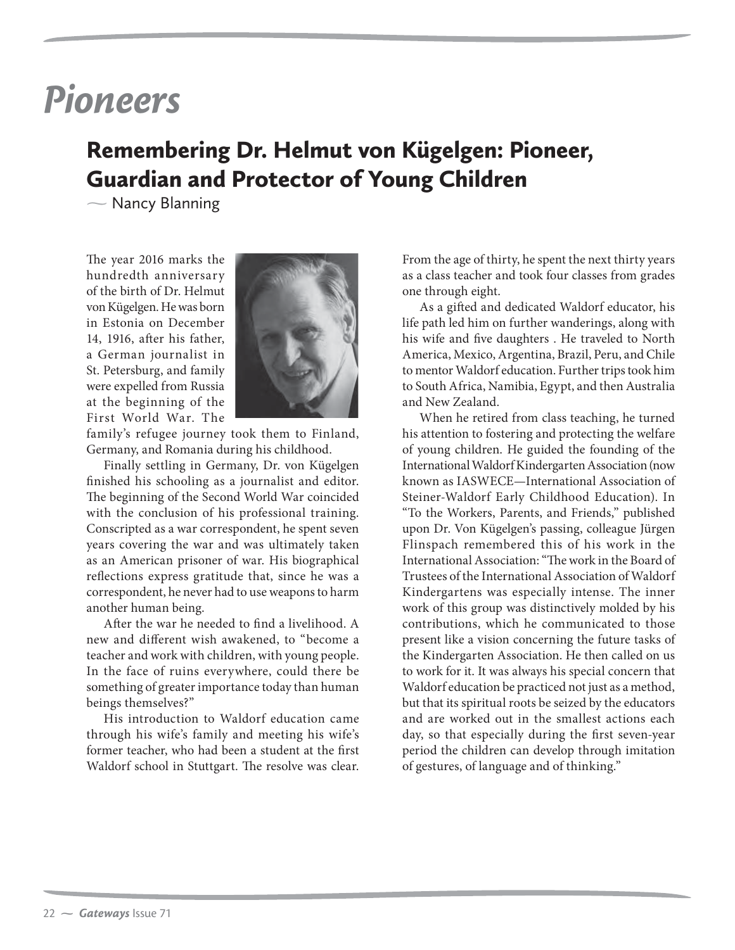## *Pioneers*

## Remembering Dr. Helmut von Kügelgen: Pioneer, Guardian and Protector of Young Children

 $\overline{\phantom{0}}$ Nancy Blanning

The year 2016 marks the hundredth anniversary of the birth of Dr. Helmut von Kügelgen. He was born in Estonia on December 14, 1916, after his father, a German journalist in St. Petersburg, and family were expelled from Russia at the beginning of the First World War. The



family's refugee journey took them to Finland, Germany, and Romania during his childhood.

Finally settling in Germany, Dr. von Kügelgen finished his schooling as a journalist and editor. The beginning of the Second World War coincided with the conclusion of his professional training. Conscripted as a war correspondent, he spent seven years covering the war and was ultimately taken as an American prisoner of war. His biographical reflections express gratitude that, since he was a correspondent, he never had to use weapons to harm another human being.

After the war he needed to find a livelihood. A new and different wish awakened, to "become a teacher and work with children, with young people. In the face of ruins everywhere, could there be something of greater importance today than human beings themselves?"

His introduction to Waldorf education came through his wife's family and meeting his wife's former teacher, who had been a student at the first Waldorf school in Stuttgart. The resolve was clear.

From the age of thirty, he spent the next thirty years as a class teacher and took four classes from grades one through eight.

As a gifted and dedicated Waldorf educator, his life path led him on further wanderings, along with his wife and five daughters . He traveled to North America, Mexico, Argentina, Brazil, Peru, and Chile to mentor Waldorf education. Further trips took him to South Africa, Namibia, Egypt, and then Australia and New Zealand.

When he retired from class teaching, he turned his attention to fostering and protecting the welfare of young children. He guided the founding of the International Waldorf Kindergarten Association (now known as IASWECE—International Association of Steiner-Waldorf Early Childhood Education). In "To the Workers, Parents, and Friends," published upon Dr. Von Kügelgen's passing, colleague Jürgen Flinspach remembered this of his work in the International Association: "The work in the Board of Trustees of the International Association of Waldorf Kindergartens was especially intense. The inner work of this group was distinctively molded by his contributions, which he communicated to those present like a vision concerning the future tasks of the Kindergarten Association. He then called on us to work for it. It was always his special concern that Waldorf education be practiced not just as a method, but that its spiritual roots be seized by the educators and are worked out in the smallest actions each day, so that especially during the first seven-year period the children can develop through imitation of gestures, of language and of thinking."